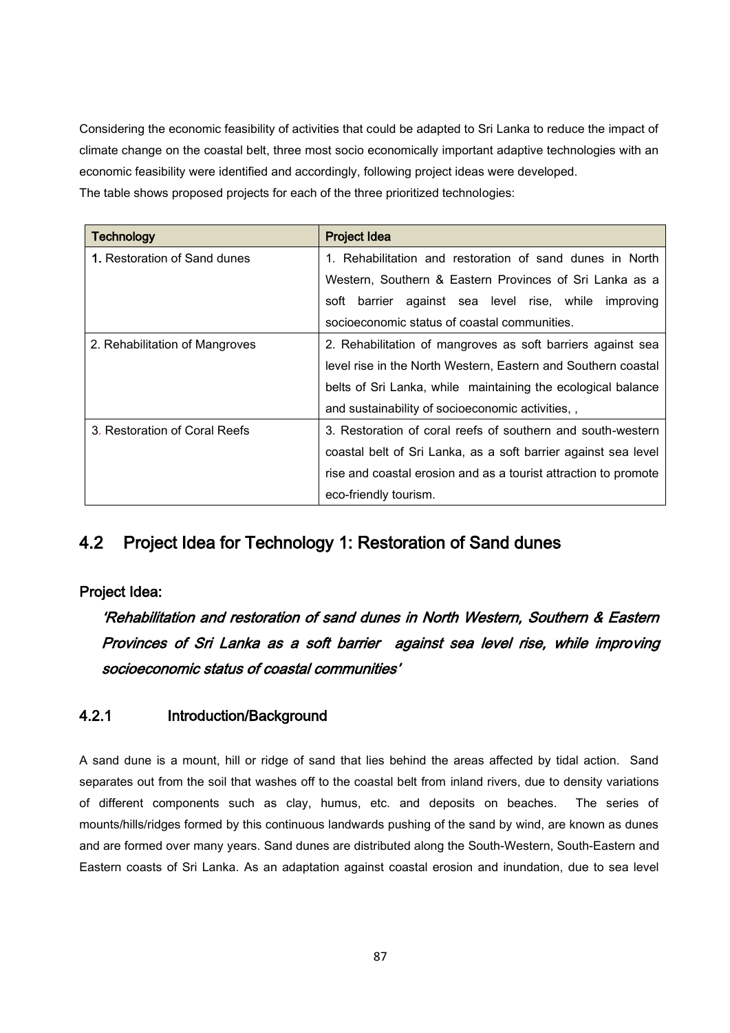Considering the economic feasibility of activities that could be adapted to Sri Lanka to reduce the impact of climate change on the coastal belt, three most socio economically important adaptive technologies with an economic feasibility were identified and accordingly, following project ideas were developed. The table shows proposed projects for each of the three prioritized technologies:

| <b>Technology</b>              | <b>Project Idea</b>                                             |  |  |  |  |  |  |  |  |
|--------------------------------|-----------------------------------------------------------------|--|--|--|--|--|--|--|--|
| 1. Restoration of Sand dunes   | 1. Rehabilitation and restoration of sand dunes in North        |  |  |  |  |  |  |  |  |
|                                | Western, Southern & Eastern Provinces of Sri Lanka as a         |  |  |  |  |  |  |  |  |
|                                | soft barrier against sea level rise, while improving            |  |  |  |  |  |  |  |  |
|                                | socioeconomic status of coastal communities.                    |  |  |  |  |  |  |  |  |
| 2. Rehabilitation of Mangroves | 2. Rehabilitation of mangroves as soft barriers against sea     |  |  |  |  |  |  |  |  |
|                                | level rise in the North Western, Eastern and Southern coastal   |  |  |  |  |  |  |  |  |
|                                | belts of Sri Lanka, while maintaining the ecological balance    |  |  |  |  |  |  |  |  |
|                                | and sustainability of socioeconomic activities,                 |  |  |  |  |  |  |  |  |
| 3. Restoration of Coral Reefs  | 3. Restoration of coral reefs of southern and south-western     |  |  |  |  |  |  |  |  |
|                                | coastal belt of Sri Lanka, as a soft barrier against sea level  |  |  |  |  |  |  |  |  |
|                                | rise and coastal erosion and as a tourist attraction to promote |  |  |  |  |  |  |  |  |
|                                | eco-friendly tourism.                                           |  |  |  |  |  |  |  |  |

# 4.2 Project Idea for Technology 1: Restoration of Sand dunes

### Project Idea:

'Rehabilitation and restoration of sand dunes in North Western, Southern & Eastern Provinces of Sri Lanka as a soft barrier against sea level rise, while improving socioeconomic status of coastal communities'

### 4.2.1 Introduction/Background

A sand dune is a mount, hill or ridge of sand that lies behind the areas affected by tidal action. Sand separates out from the soil that washes off to the coastal belt from inland rivers, due to density variations of different components such as clay, humus, etc. and deposits on beaches. The series of mounts/hills/ridges formed by this continuous landwards pushing of the sand by wind, are known as dunes and are formed over many years. Sand dunes are distributed along the South-Western, South-Eastern and Eastern coasts of Sri Lanka. As an adaptation against coastal erosion and inundation, due to sea level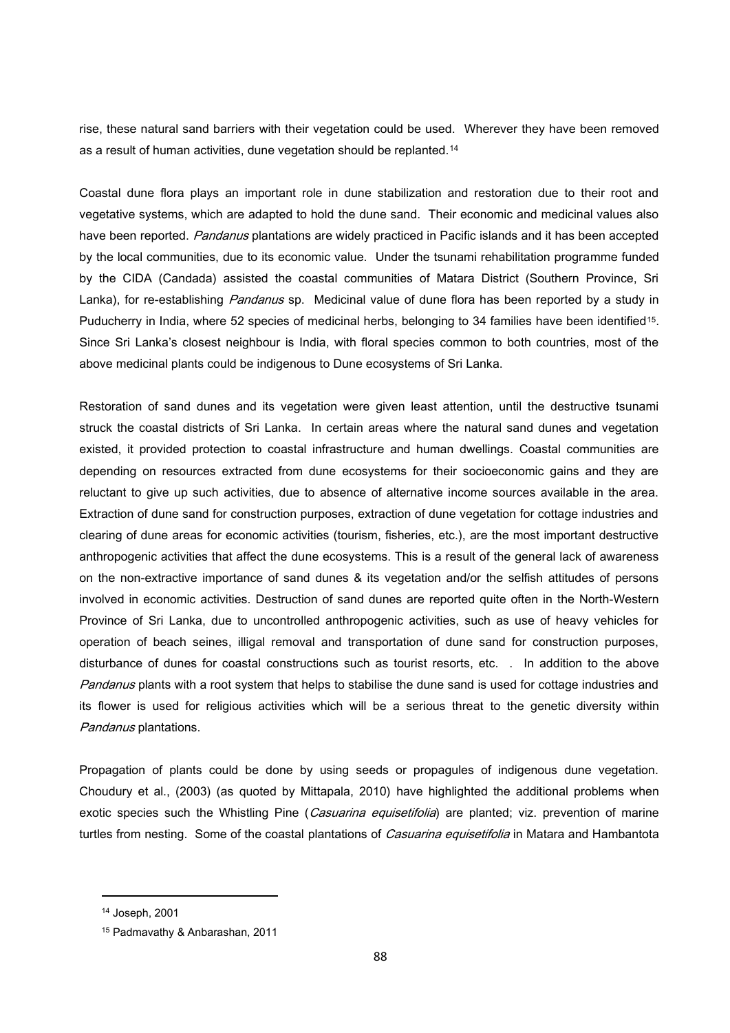rise, these natural sand barriers with their vegetation could be used. Wherever they have been removed as a result of human activities, dune vegetation should be replanted.<sup>14</sup>

Coastal dune flora plays an important role in dune stabilization and restoration due to their root and vegetative systems, which are adapted to hold the dune sand. Their economic and medicinal values also have been reported. Pandanus plantations are widely practiced in Pacific islands and it has been accepted by the local communities, due to its economic value. Under the tsunami rehabilitation programme funded by the CIDA (Candada) assisted the coastal communities of Matara District (Southern Province, Sri Lanka), for re-establishing Pandanus sp. Medicinal value of dune flora has been reported by a study in Puducherry in India, where 52 species of medicinal herbs, belonging to 34 families have been identified<sup>15</sup>. Since Sri Lanka's closest neighbour is India, with floral species common to both countries, most of the above medicinal plants could be indigenous to Dune ecosystems of Sri Lanka.

Restoration of sand dunes and its vegetation were given least attention, until the destructive tsunami struck the coastal districts of Sri Lanka. In certain areas where the natural sand dunes and vegetation existed, it provided protection to coastal infrastructure and human dwellings. Coastal communities are depending on resources extracted from dune ecosystems for their socioeconomic gains and they are reluctant to give up such activities, due to absence of alternative income sources available in the area. Extraction of dune sand for construction purposes, extraction of dune vegetation for cottage industries and clearing of dune areas for economic activities (tourism, fisheries, etc.), are the most important destructive anthropogenic activities that affect the dune ecosystems. This is a result of the general lack of awareness on the non-extractive importance of sand dunes & its vegetation and/or the selfish attitudes of persons involved in economic activities. Destruction of sand dunes are reported quite often in the North-Western Province of Sri Lanka, due to uncontrolled anthropogenic activities, such as use of heavy vehicles for operation of beach seines, illigal removal and transportation of dune sand for construction purposes, disturbance of dunes for coastal constructions such as tourist resorts, etc. . In addition to the above Pandanus plants with a root system that helps to stabilise the dune sand is used for cottage industries and its flower is used for religious activities which will be a serious threat to the genetic diversity within Pandanus plantations.

Propagation of plants could be done by using seeds or propagules of indigenous dune vegetation. Choudury et al., (2003) (as quoted by Mittapala, 2010) have highlighted the additional problems when exotic species such the Whistling Pine (*Casuarina equisetifolia*) are planted; viz. prevention of marine turtles from nesting. Some of the coastal plantations of Casuarina equisetifolia in Matara and Hambantota

1

<sup>14</sup> Joseph, 2001

<sup>15</sup> Padmavathy & Anbarashan, 2011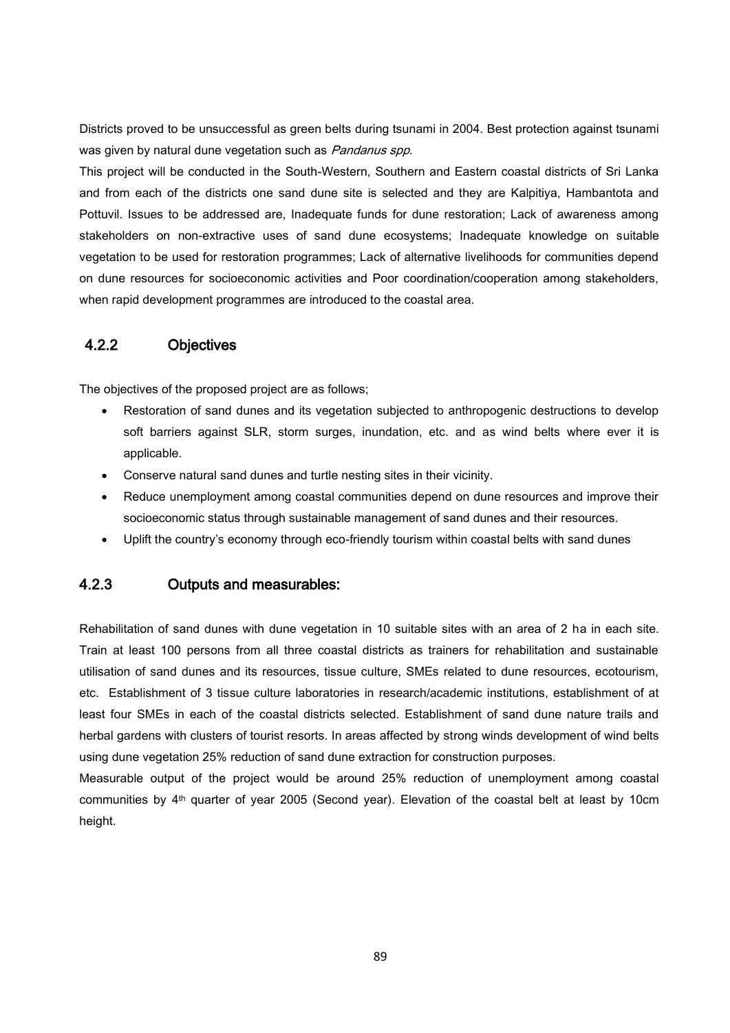Districts proved to be unsuccessful as green belts during tsunami in 2004. Best protection against tsunami was given by natural dune vegetation such as *Pandanus spp.* 

This project will be conducted in the South-Western, Southern and Eastern coastal districts of Sri Lanka and from each of the districts one sand dune site is selected and they are Kalpitiya, Hambantota and Pottuvil. Issues to be addressed are, Inadequate funds for dune restoration; Lack of awareness among stakeholders on non-extractive uses of sand dune ecosystems; Inadequate knowledge on suitable vegetation to be used for restoration programmes; Lack of alternative livelihoods for communities depend on dune resources for socioeconomic activities and Poor coordination/cooperation among stakeholders, when rapid development programmes are introduced to the coastal area.

### 4.2.2 Objectives

The objectives of the proposed project are as follows;

- Restoration of sand dunes and its vegetation subjected to anthropogenic destructions to develop soft barriers against SLR, storm surges, inundation, etc. and as wind belts where ever it is applicable.
- Conserve natural sand dunes and turtle nesting sites in their vicinity.
- Reduce unemployment among coastal communities depend on dune resources and improve their socioeconomic status through sustainable management of sand dunes and their resources.
- Uplift the country's economy through eco-friendly tourism within coastal belts with sand dunes

### 4.2.3 Outputs and measurables:

Rehabilitation of sand dunes with dune vegetation in 10 suitable sites with an area of 2 ha in each site. Train at least 100 persons from all three coastal districts as trainers for rehabilitation and sustainable utilisation of sand dunes and its resources, tissue culture, SMEs related to dune resources, ecotourism, etc. Establishment of 3 tissue culture laboratories in research/academic institutions, establishment of at least four SMEs in each of the coastal districts selected. Establishment of sand dune nature trails and herbal gardens with clusters of tourist resorts. In areas affected by strong winds development of wind belts using dune vegetation 25% reduction of sand dune extraction for construction purposes.

Measurable output of the project would be around 25% reduction of unemployment among coastal communities by 4th quarter of year 2005 (Second year). Elevation of the coastal belt at least by 10cm height.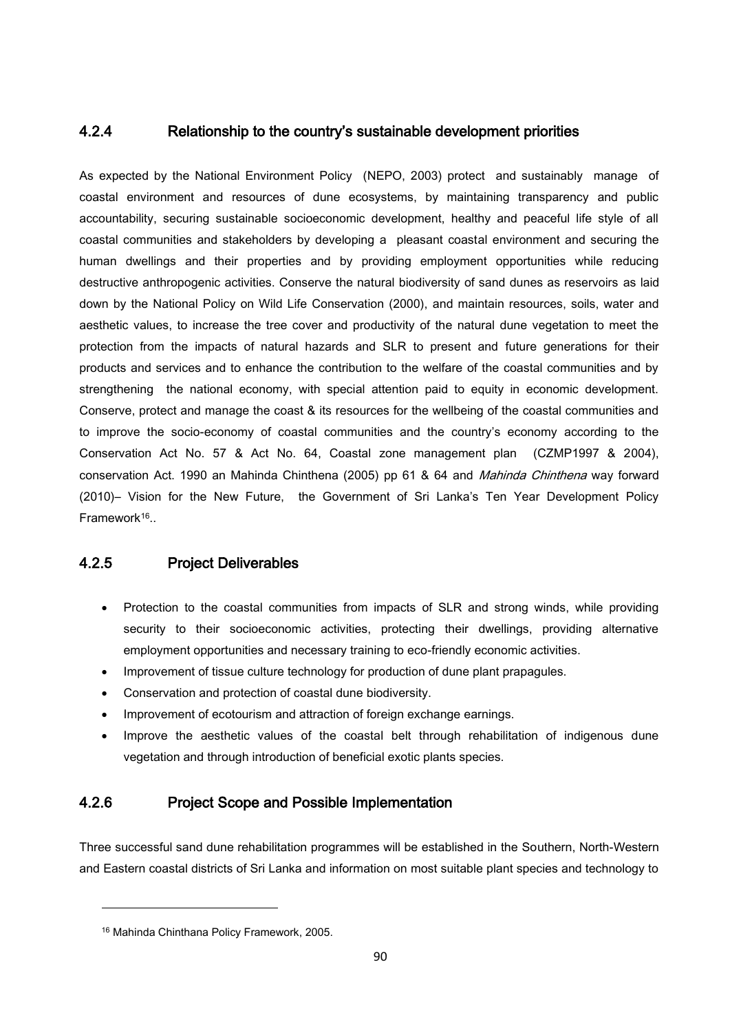### 4.2.4 Relationship to the country's sustainable development priorities

As expected by the National Environment Policy (NEPO, 2003) protect and sustainably manage of coastal environment and resources of dune ecosystems, by maintaining transparency and public accountability, securing sustainable socioeconomic development, healthy and peaceful life style of all coastal communities and stakeholders by developing a pleasant coastal environment and securing the human dwellings and their properties and by providing employment opportunities while reducing destructive anthropogenic activities. Conserve the natural biodiversity of sand dunes as reservoirs as laid down by the National Policy on Wild Life Conservation (2000), and maintain resources, soils, water and aesthetic values, to increase the tree cover and productivity of the natural dune vegetation to meet the protection from the impacts of natural hazards and SLR to present and future generations for their products and services and to enhance the contribution to the welfare of the coastal communities and by strengthening the national economy, with special attention paid to equity in economic development. Conserve, protect and manage the coast & its resources for the wellbeing of the coastal communities and to improve the socio-economy of coastal communities and the country's economy according to the Conservation Act No. 57 & Act No. 64, Coastal zone management plan (CZMP1997 & 2004), conservation Act. 1990 an Mahinda Chinthena (2005) pp 61 & 64 and *Mahinda Chinthena* way forward (2010)– Vision for the New Future, the Government of Sri Lanka's Ten Year Development Policy Framework<sup>16</sup>..

### 4.2.5 Project Deliverables

- Protection to the coastal communities from impacts of SLR and strong winds, while providing security to their socioeconomic activities, protecting their dwellings, providing alternative employment opportunities and necessary training to eco-friendly economic activities.
- Improvement of tissue culture technology for production of dune plant prapagules.
- Conservation and protection of coastal dune biodiversity.
- Improvement of ecotourism and attraction of foreign exchange earnings.
- Improve the aesthetic values of the coastal belt through rehabilitation of indigenous dune vegetation and through introduction of beneficial exotic plants species.

### 4.2.6 Project Scope and Possible Implementation

Three successful sand dune rehabilitation programmes will be established in the Southern, North-Western and Eastern coastal districts of Sri Lanka and information on most suitable plant species and technology to

**.** 

<sup>16</sup> Mahinda Chinthana Policy Framework, 2005.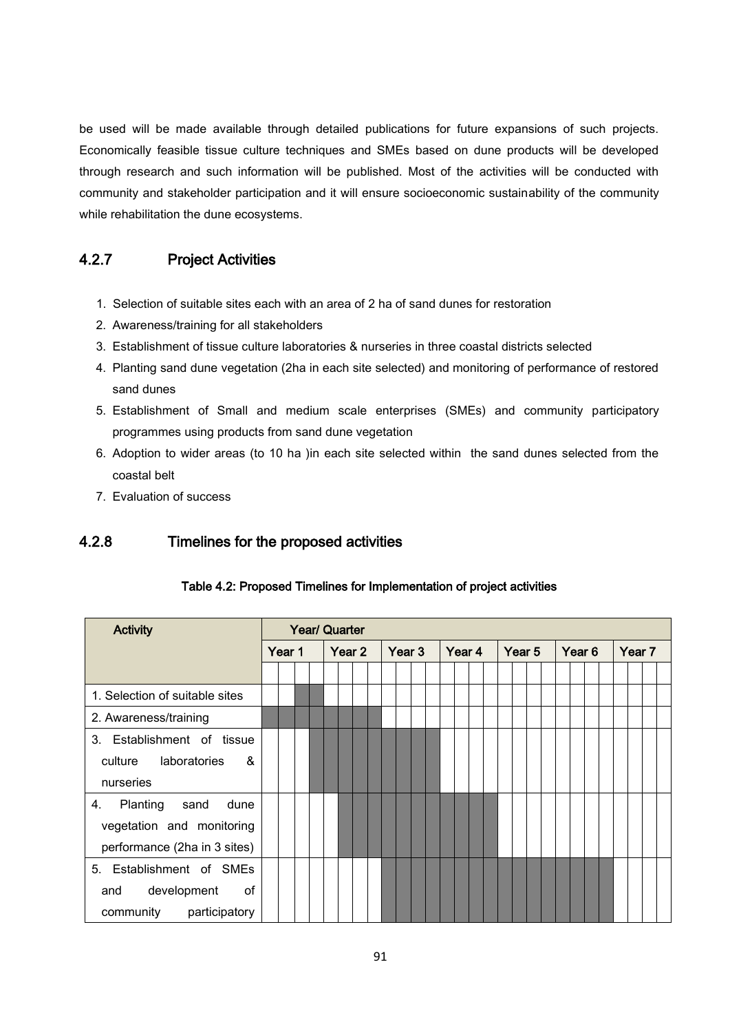be used will be made available through detailed publications for future expansions of such projects. Economically feasible tissue culture techniques and SMEs based on dune products will be developed through research and such information will be published. Most of the activities will be conducted with community and stakeholder participation and it will ensure socioeconomic sustainability of the community while rehabilitation the dune ecosystems.

### 4.2.7 Project Activities

- 1. Selection of suitable sites each with an area of 2 ha of sand dunes for restoration
- 2. Awareness/training for all stakeholders
- 3. Establishment of tissue culture laboratories & nurseries in three coastal districts selected
- 4. Planting sand dune vegetation (2ha in each site selected) and monitoring of performance of restored sand dunes
- 5. Establishment of Small and medium scale enterprises (SMEs) and community participatory programmes using products from sand dune vegetation
- 6. Adoption to wider areas (to 10 ha )in each site selected within the sand dunes selected from the coastal belt
- 7. Evaluation of success

### 4.2.8 Timelines for the proposed activities

| <b>Activity</b>                | <b>Year/ Quarter</b> |  |  |  |        |  |  |        |  |  |        |  |  |        |  |  |        |  |  |        |  |  |  |  |
|--------------------------------|----------------------|--|--|--|--------|--|--|--------|--|--|--------|--|--|--------|--|--|--------|--|--|--------|--|--|--|--|
|                                | Year 1               |  |  |  | Year 2 |  |  | Year 3 |  |  | Year 4 |  |  | Year 5 |  |  | Year 6 |  |  | Year 7 |  |  |  |  |
|                                |                      |  |  |  |        |  |  |        |  |  |        |  |  |        |  |  |        |  |  |        |  |  |  |  |
| 1. Selection of suitable sites |                      |  |  |  |        |  |  |        |  |  |        |  |  |        |  |  |        |  |  |        |  |  |  |  |
| 2. Awareness/training          |                      |  |  |  |        |  |  |        |  |  |        |  |  |        |  |  |        |  |  |        |  |  |  |  |
| 3. Establishment of tissue     |                      |  |  |  |        |  |  |        |  |  |        |  |  |        |  |  |        |  |  |        |  |  |  |  |
| culture laboratories<br>&      |                      |  |  |  |        |  |  |        |  |  |        |  |  |        |  |  |        |  |  |        |  |  |  |  |
| nurseries                      |                      |  |  |  |        |  |  |        |  |  |        |  |  |        |  |  |        |  |  |        |  |  |  |  |
| Planting<br>sand<br>4.<br>dune |                      |  |  |  |        |  |  |        |  |  |        |  |  |        |  |  |        |  |  |        |  |  |  |  |
| vegetation and monitoring      |                      |  |  |  |        |  |  |        |  |  |        |  |  |        |  |  |        |  |  |        |  |  |  |  |
| performance (2ha in 3 sites)   |                      |  |  |  |        |  |  |        |  |  |        |  |  |        |  |  |        |  |  |        |  |  |  |  |
| 5. Establishment of SMEs       |                      |  |  |  |        |  |  |        |  |  |        |  |  |        |  |  |        |  |  |        |  |  |  |  |
| of<br>development<br>and       |                      |  |  |  |        |  |  |        |  |  |        |  |  |        |  |  |        |  |  |        |  |  |  |  |
| participatory<br>community     |                      |  |  |  |        |  |  |        |  |  |        |  |  |        |  |  |        |  |  |        |  |  |  |  |

#### Table 4.2: Proposed Timelines for Implementation of project activities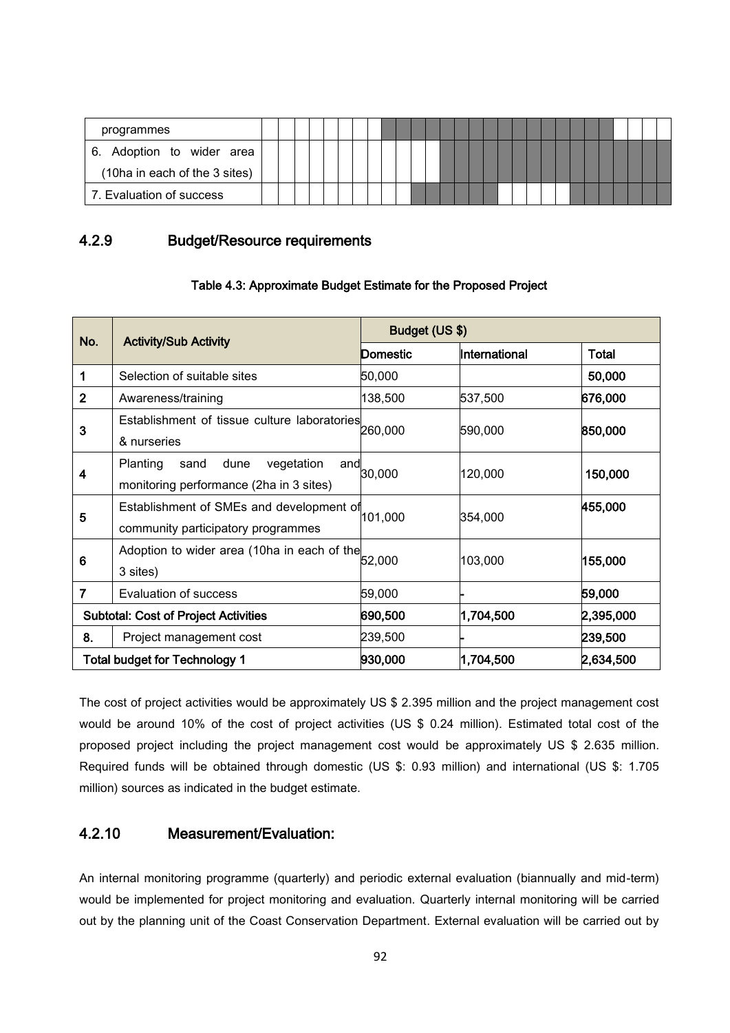| programmes                    |  |  |  |  |  |  |  |  |  |  |  |  |  |  |
|-------------------------------|--|--|--|--|--|--|--|--|--|--|--|--|--|--|
| 6. Adoption to wider area     |  |  |  |  |  |  |  |  |  |  |  |  |  |  |
| (10ha in each of the 3 sites) |  |  |  |  |  |  |  |  |  |  |  |  |  |  |
| 7. Evaluation of success      |  |  |  |  |  |  |  |  |  |  |  |  |  |  |

### 4.2.9 Budget/Resource requirements

| Table 4.3: Approximate Budget Estimate for the Proposed Project |  |  |
|-----------------------------------------------------------------|--|--|
|-----------------------------------------------------------------|--|--|

| No.            | <b>Activity/Sub Activity</b>                                                                    |          | Budget (US \$) |           |  |  |  |  |  |  |  |
|----------------|-------------------------------------------------------------------------------------------------|----------|----------------|-----------|--|--|--|--|--|--|--|
|                |                                                                                                 | Domestic | International  | Total     |  |  |  |  |  |  |  |
| 1              | Selection of suitable sites                                                                     | 50,000   |                | 50,000    |  |  |  |  |  |  |  |
| $\overline{2}$ | Awareness/training                                                                              | 138,500  | 537,500        | 676,000   |  |  |  |  |  |  |  |
| 3              | Establishment of tissue culture laboratories<br>& nurseries                                     | 260,000  | 590,000        | 850,000   |  |  |  |  |  |  |  |
| 4              | <b>Planting</b><br>vegetation<br>sand<br>dune<br>and<br>monitoring performance (2ha in 3 sites) | 30,000   | 120,000        | 150,000   |  |  |  |  |  |  |  |
| 5              | Establishment of SMEs and development of<br>community participatory programmes                  | 101,000  | 354,000        | 455,000   |  |  |  |  |  |  |  |
| 6              | Adoption to wider area (10ha in each of the<br>3 sites)                                         | 52,000   | 103,000        | 155,000   |  |  |  |  |  |  |  |
| $\overline{7}$ | Evaluation of success                                                                           | 59,000   |                | 59,000    |  |  |  |  |  |  |  |
|                | <b>Subtotal: Cost of Project Activities</b>                                                     | 690,500  | 1,704,500      | 2,395,000 |  |  |  |  |  |  |  |
| 8.             | Project management cost                                                                         | 239,500  |                | 239,500   |  |  |  |  |  |  |  |
|                | Total budget for Technology 1                                                                   | 930,000  | 1,704,500      | 2,634,500 |  |  |  |  |  |  |  |

The cost of project activities would be approximately US \$ 2.395 million and the project management cost would be around 10% of the cost of project activities (US \$ 0.24 million). Estimated total cost of the proposed project including the project management cost would be approximately US \$ 2.635 million. Required funds will be obtained through domestic (US \$: 0.93 million) and international (US \$: 1.705 million) sources as indicated in the budget estimate.

### 4.2.10 Measurement/Evaluation:

An internal monitoring programme (quarterly) and periodic external evaluation (biannually and mid-term) would be implemented for project monitoring and evaluation. Quarterly internal monitoring will be carried out by the planning unit of the Coast Conservation Department. External evaluation will be carried out by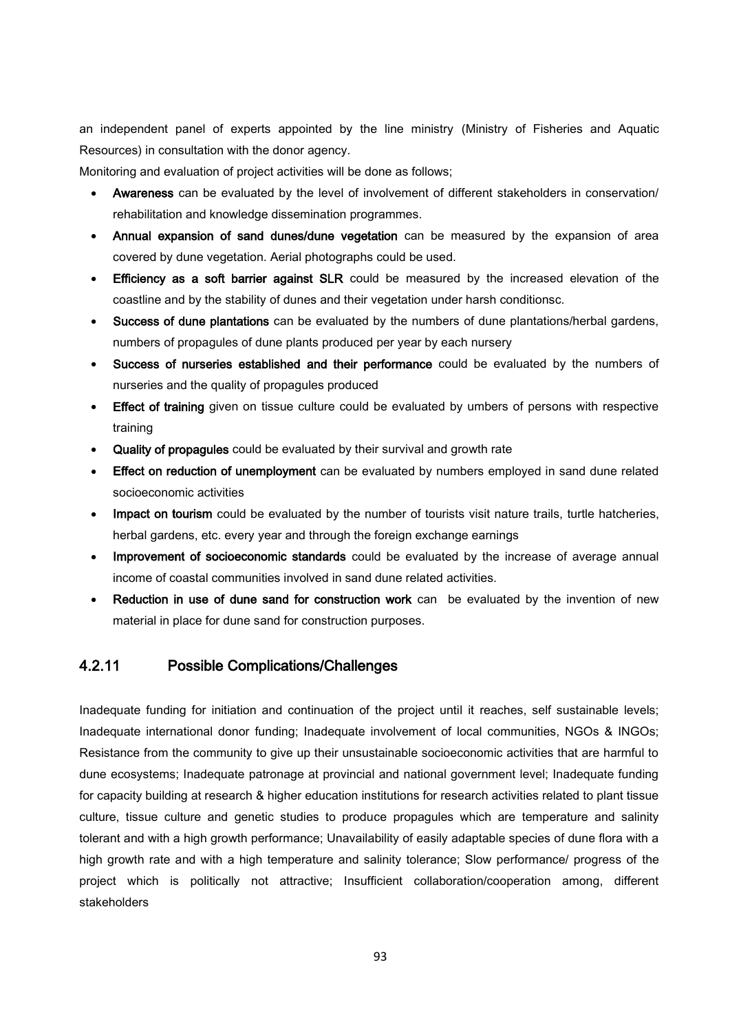an independent panel of experts appointed by the line ministry (Ministry of Fisheries and Aquatic Resources) in consultation with the donor agency.

Monitoring and evaluation of project activities will be done as follows;

- Awareness can be evaluated by the level of involvement of different stakeholders in conservation/ rehabilitation and knowledge dissemination programmes.
- Annual expansion of sand dunes/dune vegetation can be measured by the expansion of area covered by dune vegetation. Aerial photographs could be used.
- Efficiency as a soft barrier against SLR could be measured by the increased elevation of the coastline and by the stability of dunes and their vegetation under harsh conditionsc.
- Success of dune plantations can be evaluated by the numbers of dune plantations/herbal gardens, numbers of propagules of dune plants produced per year by each nursery
- Success of nurseries established and their performance could be evaluated by the numbers of nurseries and the quality of propagules produced
- Effect of training given on tissue culture could be evaluated by umbers of persons with respective training
- Quality of propagules could be evaluated by their survival and growth rate
- Effect on reduction of unemployment can be evaluated by numbers employed in sand dune related socioeconomic activities
- Impact on tourism could be evaluated by the number of tourists visit nature trails, turtle hatcheries, herbal gardens, etc. every year and through the foreign exchange earnings
- Improvement of socioeconomic standards could be evaluated by the increase of average annual income of coastal communities involved in sand dune related activities.
- Reduction in use of dune sand for construction work can be evaluated by the invention of new material in place for dune sand for construction purposes.

#### 4.2.11 Possible Complications/Challenges

Inadequate funding for initiation and continuation of the project until it reaches, self sustainable levels; Inadequate international donor funding; Inadequate involvement of local communities, NGOs & INGOs; Resistance from the community to give up their unsustainable socioeconomic activities that are harmful to dune ecosystems; Inadequate patronage at provincial and national government level; Inadequate funding for capacity building at research & higher education institutions for research activities related to plant tissue culture, tissue culture and genetic studies to produce propagules which are temperature and salinity tolerant and with a high growth performance; Unavailability of easily adaptable species of dune flora with a high growth rate and with a high temperature and salinity tolerance; Slow performance/ progress of the project which is politically not attractive; Insufficient collaboration/cooperation among, different stakeholders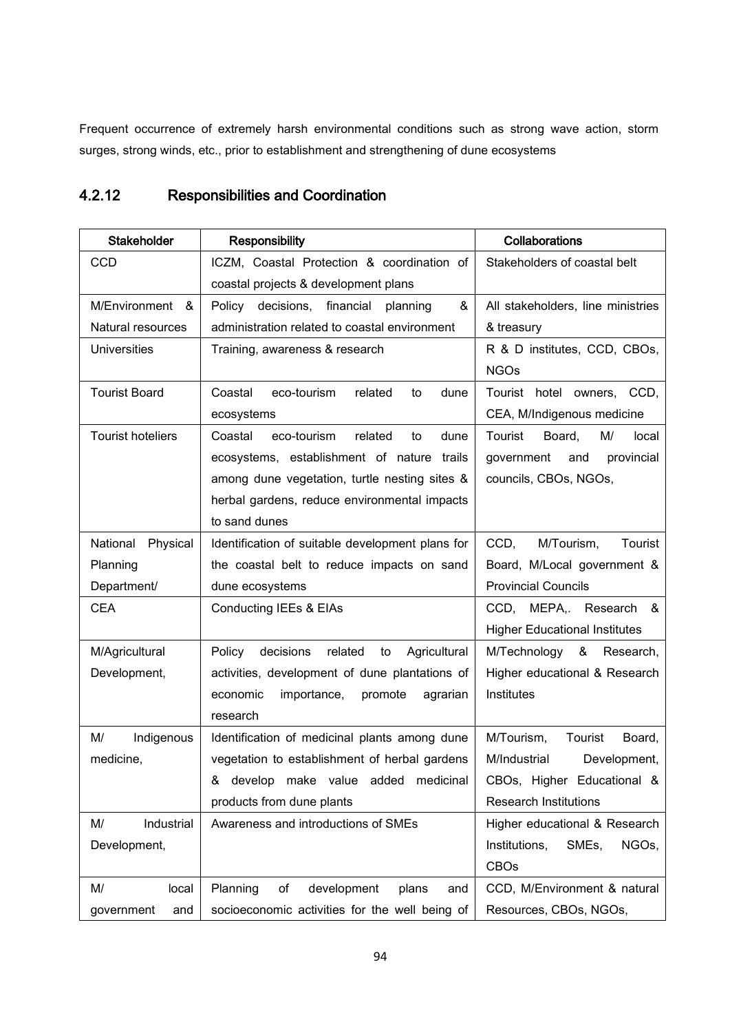Frequent occurrence of extremely harsh environmental conditions such as strong wave action, storm surges, strong winds, etc., prior to establishment and strengthening of dune ecosystems

## 4.2.12 Responsibilities and Coordination

| <b>Stakeholder</b>       | <b>Responsibility</b>                                | <b>Collaborations</b>                |  |  |  |  |  |  |
|--------------------------|------------------------------------------------------|--------------------------------------|--|--|--|--|--|--|
| <b>CCD</b>               | ICZM, Coastal Protection & coordination of           | Stakeholders of coastal belt         |  |  |  |  |  |  |
|                          | coastal projects & development plans                 |                                      |  |  |  |  |  |  |
| M/Environment<br>&       | &<br>Policy decisions, financial<br>planning         | All stakeholders, line ministries    |  |  |  |  |  |  |
| Natural resources        | administration related to coastal environment        | & treasury                           |  |  |  |  |  |  |
| <b>Universities</b>      | Training, awareness & research                       | R & D institutes, CCD, CBOs,         |  |  |  |  |  |  |
|                          |                                                      | <b>NGOs</b>                          |  |  |  |  |  |  |
| <b>Tourist Board</b>     | related<br>Coastal<br>eco-tourism<br>to<br>dune      | Tourist hotel owners, CCD,           |  |  |  |  |  |  |
|                          | ecosystems                                           | CEA, M/Indigenous medicine           |  |  |  |  |  |  |
| <b>Tourist hoteliers</b> | Coastal<br>eco-tourism<br>related<br>dune<br>to      | Tourist<br>M/<br>Board,<br>local     |  |  |  |  |  |  |
|                          | ecosystems, establishment of nature trails           | provincial<br>government<br>and      |  |  |  |  |  |  |
|                          | among dune vegetation, turtle nesting sites &        | councils, CBOs, NGOs,                |  |  |  |  |  |  |
|                          | herbal gardens, reduce environmental impacts         |                                      |  |  |  |  |  |  |
|                          | to sand dunes                                        |                                      |  |  |  |  |  |  |
| Physical<br>National     | Identification of suitable development plans for     | M/Tourism,<br>CCD,<br>Tourist        |  |  |  |  |  |  |
| Planning                 | the coastal belt to reduce impacts on sand           | Board, M/Local government &          |  |  |  |  |  |  |
| Department/              | dune ecosystems                                      | <b>Provincial Councils</b>           |  |  |  |  |  |  |
| <b>CEA</b>               | Conducting IEEs & EIAs                               | CCD, MEPA,. Research<br>- &          |  |  |  |  |  |  |
|                          |                                                      | <b>Higher Educational Institutes</b> |  |  |  |  |  |  |
| M/Agricultural           | decisions<br>related<br>Agricultural<br>Policy<br>to | M/Technology<br>&<br>Research,       |  |  |  |  |  |  |
| Development,             | activities, development of dune plantations of       | Higher educational & Research        |  |  |  |  |  |  |
|                          | economic<br>importance,<br>promote<br>agrarian       | Institutes                           |  |  |  |  |  |  |
|                          | research                                             |                                      |  |  |  |  |  |  |
| M/<br>Indigenous         | Identification of medicinal plants among dune        | M/Tourism,<br>Board,<br>Tourist      |  |  |  |  |  |  |
| medicine,                | vegetation to establishment of herbal gardens        | M/Industrial<br>Development,         |  |  |  |  |  |  |
|                          | & develop make value<br>added<br>medicinal           | CBOs, Higher Educational &           |  |  |  |  |  |  |
|                          | products from dune plants                            | <b>Research Institutions</b>         |  |  |  |  |  |  |
| Industrial<br>M/         | Awareness and introductions of SMEs                  | Higher educational & Research        |  |  |  |  |  |  |
| Development,             |                                                      | Institutions,<br>SMEs,<br>NGOs,      |  |  |  |  |  |  |
|                          |                                                      | <b>CBOs</b>                          |  |  |  |  |  |  |
| M/<br>local              | Planning<br>development<br>of<br>plans<br>and        | CCD, M/Environment & natural         |  |  |  |  |  |  |
| government<br>and        | socioeconomic activities for the well being of       | Resources, CBOs, NGOs,               |  |  |  |  |  |  |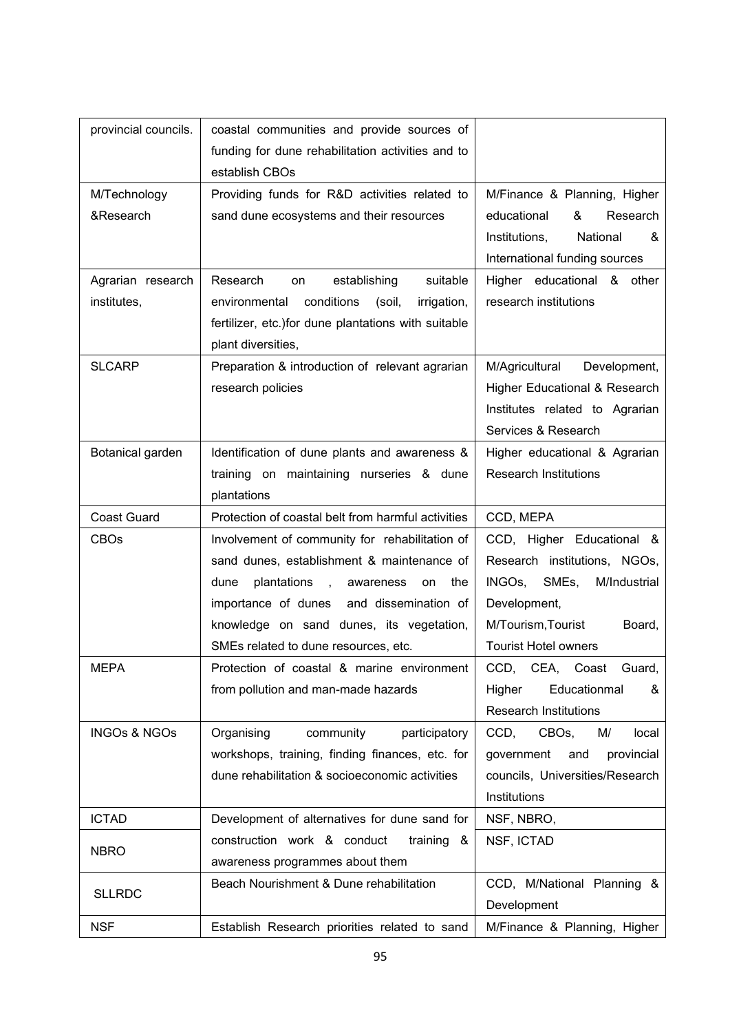| provincial councils.    | coastal communities and provide sources of           |                                         |
|-------------------------|------------------------------------------------------|-----------------------------------------|
|                         | funding for dune rehabilitation activities and to    |                                         |
|                         | establish CBOs                                       |                                         |
| M/Technology            | Providing funds for R&D activities related to        | M/Finance & Planning, Higher            |
| &Research               | sand dune ecosystems and their resources             | &<br>Research<br>educational            |
|                         |                                                      | Institutions,<br>National<br>&          |
|                         |                                                      | International funding sources           |
| Agrarian research       | suitable<br>Research<br>establishing<br>on           | Higher educational & other              |
| institutes,             | conditions<br>environmental<br>(soil,<br>irrigation, | research institutions                   |
|                         | fertilizer, etc.) for dune plantations with suitable |                                         |
|                         | plant diversities,                                   |                                         |
| <b>SLCARP</b>           | Preparation & introduction of relevant agrarian      | M/Agricultural<br>Development,          |
|                         | research policies                                    | Higher Educational & Research           |
|                         |                                                      | Institutes related to Agrarian          |
|                         |                                                      | Services & Research                     |
| Botanical garden        | Identification of dune plants and awareness &        | Higher educational & Agrarian           |
|                         | training on maintaining nurseries & dune             | <b>Research Institutions</b>            |
|                         | plantations                                          |                                         |
| <b>Coast Guard</b>      | Protection of coastal belt from harmful activities   | CCD, MEPA                               |
| <b>CBOs</b>             | Involvement of community for rehabilitation of       | CCD, Higher Educational &               |
|                         | sand dunes, establishment & maintenance of           | Research institutions, NGOs,            |
|                         | plantations, awareness<br>dune<br>the<br>on          | INGOs, SMEs,<br>M/Industrial            |
|                         | importance of dunes and dissemination of             | Development,                            |
|                         | knowledge on sand dunes, its vegetation,             | M/Tourism, Tourist<br>Board,            |
|                         | SMEs related to dune resources, etc.                 | <b>Tourist Hotel owners</b>             |
| MEPA                    | Protection of coastal & marine environment           | CCD, CEA, Coast Guard,                  |
|                         | from pollution and man-made hazards                  | Educationmal<br>&<br>Higher             |
|                         |                                                      | <b>Research Institutions</b>            |
| <b>INGOs &amp; NGOs</b> | Organising<br>community<br>participatory             | CCD,<br>CBO <sub>s</sub><br>local<br>M/ |
|                         | workshops, training, finding finances, etc. for      | and<br>provincial<br>government         |
|                         | dune rehabilitation & socioeconomic activities       | councils, Universities/Research         |
|                         |                                                      | Institutions                            |
| <b>ICTAD</b>            | Development of alternatives for dune sand for        | NSF, NBRO,                              |
| <b>NBRO</b>             | construction work & conduct<br>training &            | NSF, ICTAD                              |
|                         | awareness programmes about them                      |                                         |
| <b>SLLRDC</b>           | Beach Nourishment & Dune rehabilitation              | CCD, M/National Planning &              |
|                         |                                                      | Development                             |
| <b>NSF</b>              | Establish Research priorities related to sand        | M/Finance & Planning, Higher            |